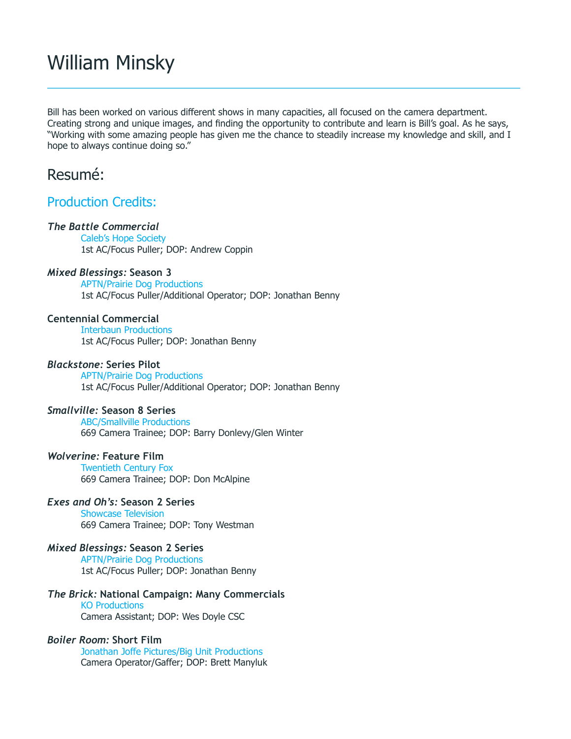# William Minsky

Bill has been worked on various different shows in many capacities, all focused on the camera department. Creating strong and unique images, and finding the opportunity to contribute and learn is Bill's goal. As he says, "Working with some amazing people has given me the chance to steadily increase my knowledge and skill, and I hope to always continue doing so."

## Resumé:

## Production Credits:

#### *The Battle Commercial*

Caleb's Hope Society 1st AC/Focus Puller; DOP: Andrew Coppin

#### *Mixed Blessings:* **Season 3**

APTN/Prairie Dog Productions 1st AC/Focus Puller/Additional Operator; DOP: Jonathan Benny

#### **Centennial Commercial**

Interbaun Productions 1st AC/Focus Puller; DOP: Jonathan Benny

#### *Blackstone:* **Series Pilot**

APTN/Prairie Dog Productions 1st AC/Focus Puller/Additional Operator; DOP: Jonathan Benny

#### *Smallville:* **Season 8 Series**

ABC/Smallville Productions 669 Camera Trainee; DOP: Barry Donlevy/Glen Winter

#### *Wolverine:* **Feature Film**

Twentieth Century Fox 669 Camera Trainee; DOP: Don McAlpine

### *Exes and Oh's:* **Season 2 Series**

Showcase Television 669 Camera Trainee; DOP: Tony Westman

#### *Mixed Blessings:* **Season 2 Series**

APTN/Prairie Dog Productions 1st AC/Focus Puller; DOP: Jonathan Benny

#### *The Brick:* **National Campaign: Many Commercials**

KO Productions Camera Assistant; DOP: Wes Doyle CSC

#### *Boiler Room:* **Short Film**

Jonathan Joffe Pictures/Big Unit Productions Camera Operator/Gaffer; DOP: Brett Manyluk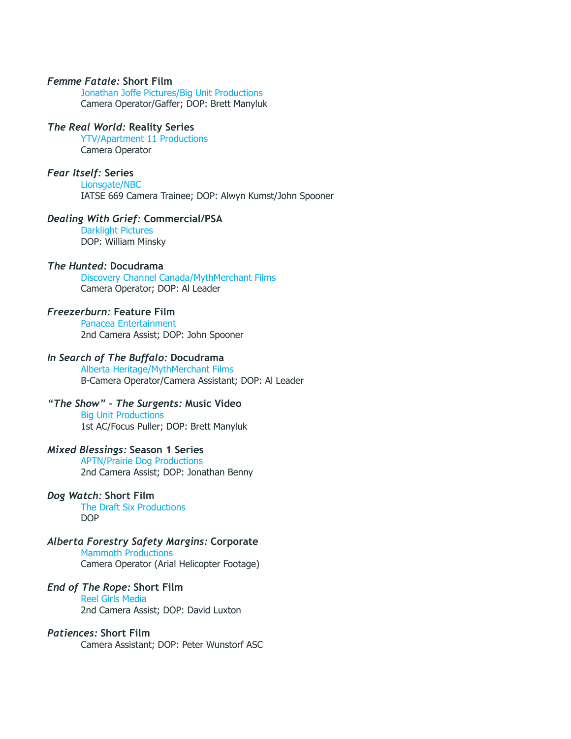#### *Femme Fatale:* **Short Film**

Jonathan Joffe Pictures/Big Unit Productions Camera Operator/Gaffer; DOP: Brett Manyluk

#### *The Real World:* **Reality Series**

YTV/Apartment 11 Productions Camera Operator

#### *Fear Itself:* **Series**

Lionsgate/NBC IATSE 669 Camera Trainee; DOP: Alwyn Kumst/John Spooner

#### *Dealing With Grief:* **Commercial/PSA**

Darklight Pictures DOP: William Minsky

#### *The Hunted:* **Docudrama**

Discovery Channel Canada/MythMerchant Films Camera Operator; DOP: Al Leader

#### *Freezerburn:* **Feature Film**

Panacea Entertainment 2nd Camera Assist; DOP: John Spooner

#### *In Search of The Buffalo:* **Docudrama**

Alberta Heritage/MythMerchant Films B-Camera Operator/Camera Assistant; DOP: Al Leader

#### *"The Show" – The Surgents:* **Music Video**

Big Unit Productions 1st AC/Focus Puller; DOP: Brett Manyluk

#### *Mixed Blessings:* **Season 1 Series**

APTN/Prairie Dog Productions 2nd Camera Assist; DOP: Jonathan Benny

#### *Dog Watch:* **Short Film**

The Draft Six Productions DOP

#### *Alberta Forestry Safety Margins:* **Corporate**

Mammoth Productions

Camera Operator (Arial Helicopter Footage)

#### *End of The Rope:* **Short Film**

Reel Girls Media 2nd Camera Assist; DOP: David Luxton

#### *Patiences:* **Short Film**

Camera Assistant; DOP: Peter Wunstorf ASC